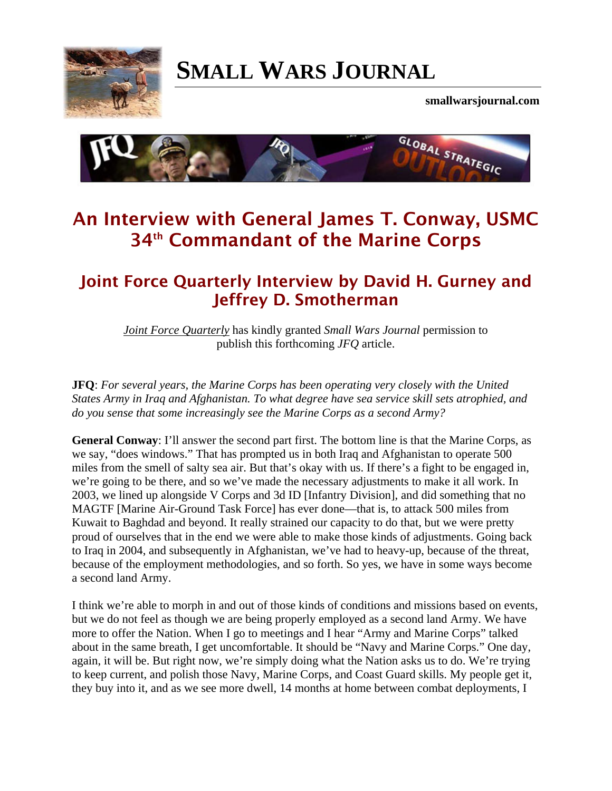

# **[SMALL WARS JOURNAL](http://smallwarsjournal.com/)**

**smallwarsjournal.com**



## **An Interview with General James T. Conway, USMC 34th Commandant of the Marine Corps**

### **Joint Force Quarterly Interview by David H. Gurney and Jeffrey D. Smotherman**

*[Joint Force Quarterly](http://www.ndu.edu/press/jointForceQuarterly.html)* has kindly granted *Small Wars Journal* permission to publish this forthcoming *JFQ* article.

**JFQ**: *For several years, the Marine Corps has been operating very closely with the United States Army in Iraq and Afghanistan. To what degree have sea service skill sets atrophied, and do you sense that some increasingly see the Marine Corps as a second Army?*

**General Conway**: I'll answer the second part first. The bottom line is that the Marine Corps, as we say, "does windows." That has prompted us in both Iraq and Afghanistan to operate 500 miles from the smell of salty sea air. But that's okay with us. If there's a fight to be engaged in, we're going to be there, and so we've made the necessary adjustments to make it all work. In 2003, we lined up alongside V Corps and 3d ID [Infantry Division], and did something that no MAGTF [Marine Air-Ground Task Force] has ever done—that is, to attack 500 miles from Kuwait to Baghdad and beyond. It really strained our capacity to do that, but we were pretty proud of ourselves that in the end we were able to make those kinds of adjustments. Going back to Iraq in 2004, and subsequently in Afghanistan, we've had to heavy-up, because of the threat, because of the employment methodologies, and so forth. So yes, we have in some ways become a second land Army.

I think we're able to morph in and out of those kinds of conditions and missions based on events, but we do not feel as though we are being properly employed as a second land Army. We have more to offer the Nation. When I go to meetings and I hear "Army and Marine Corps" talked about in the same breath, I get uncomfortable. It should be "Navy and Marine Corps." One day, again, it will be. But right now, we're simply doing what the Nation asks us to do. We're trying to keep current, and polish those Navy, Marine Corps, and Coast Guard skills. My people get it, they buy into it, and as we see more dwell, 14 months at home between combat deployments, I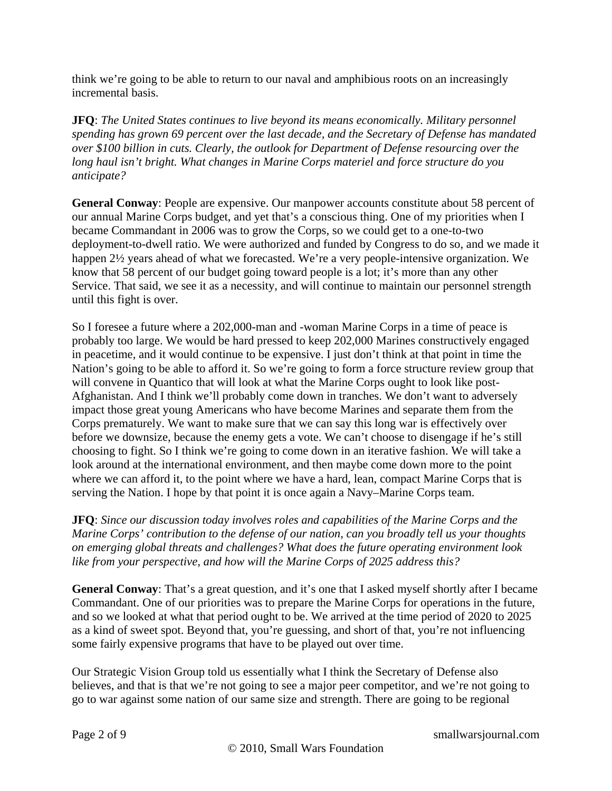think we're going to be able to return to our naval and amphibious roots on an increasingly incremental basis.

**JFQ**: *The United States continues to live beyond its means economically. Military personnel spending has grown 69 percent over the last decade, and the Secretary of Defense has mandated over \$100 billion in cuts. Clearly, the outlook for Department of Defense resourcing over the long haul isn't bright. What changes in Marine Corps materiel and force structure do you anticipate?*

**General Conway**: People are expensive. Our manpower accounts constitute about 58 percent of our annual Marine Corps budget, and yet that's a conscious thing. One of my priorities when I became Commandant in 2006 was to grow the Corps, so we could get to a one-to-two deployment-to-dwell ratio. We were authorized and funded by Congress to do so, and we made it happen 2½ years ahead of what we forecasted. We're a very people-intensive organization. We know that 58 percent of our budget going toward people is a lot; it's more than any other Service. That said, we see it as a necessity, and will continue to maintain our personnel strength until this fight is over.

So I foresee a future where a 202,000-man and -woman Marine Corps in a time of peace is probably too large. We would be hard pressed to keep 202,000 Marines constructively engaged in peacetime, and it would continue to be expensive. I just don't think at that point in time the Nation's going to be able to afford it. So we're going to form a force structure review group that will convene in Quantico that will look at what the Marine Corps ought to look like post-Afghanistan. And I think we'll probably come down in tranches. We don't want to adversely impact those great young Americans who have become Marines and separate them from the Corps prematurely. We want to make sure that we can say this long war is effectively over before we downsize, because the enemy gets a vote. We can't choose to disengage if he's still choosing to fight. So I think we're going to come down in an iterative fashion. We will take a look around at the international environment, and then maybe come down more to the point where we can afford it, to the point where we have a hard, lean, compact Marine Corps that is serving the Nation. I hope by that point it is once again a Navy–Marine Corps team.

**JFQ**: *Since our discussion today involves roles and capabilities of the Marine Corps and the Marine Corps' contribution to the defense of our nation, can you broadly tell us your thoughts on emerging global threats and challenges? What does the future operating environment look like from your perspective, and how will the Marine Corps of 2025 address this?*

**General Conway**: That's a great question, and it's one that I asked myself shortly after I became Commandant. One of our priorities was to prepare the Marine Corps for operations in the future, and so we looked at what that period ought to be. We arrived at the time period of 2020 to 2025 as a kind of sweet spot. Beyond that, you're guessing, and short of that, you're not influencing some fairly expensive programs that have to be played out over time.

Our Strategic Vision Group told us essentially what I think the Secretary of Defense also believes, and that is that we're not going to see a major peer competitor, and we're not going to go to war against some nation of our same size and strength. There are going to be regional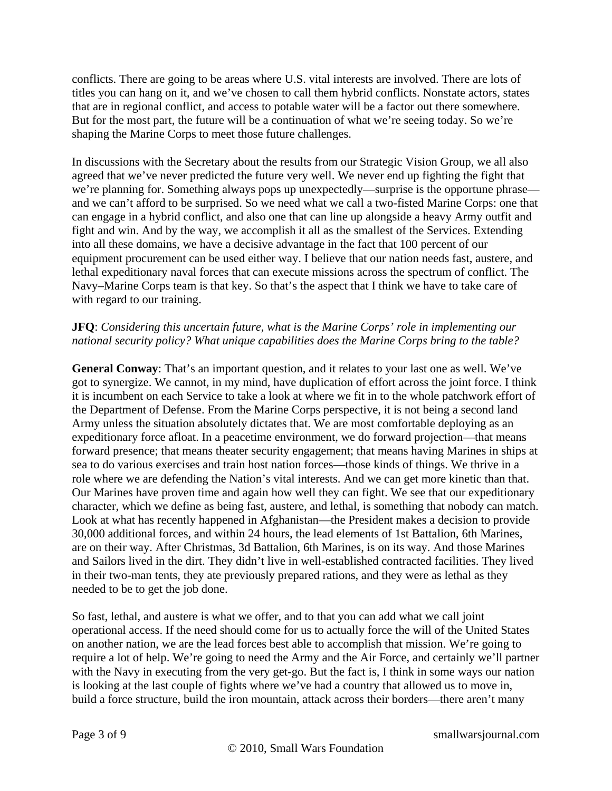conflicts. There are going to be areas where U.S. vital interests are involved. There are lots of titles you can hang on it, and we've chosen to call them hybrid conflicts. Nonstate actors, states that are in regional conflict, and access to potable water will be a factor out there somewhere. But for the most part, the future will be a continuation of what we're seeing today. So we're shaping the Marine Corps to meet those future challenges.

In discussions with the Secretary about the results from our Strategic Vision Group, we all also agreed that we've never predicted the future very well. We never end up fighting the fight that we're planning for. Something always pops up unexpectedly—surprise is the opportune phrase and we can't afford to be surprised. So we need what we call a two-fisted Marine Corps: one that can engage in a hybrid conflict, and also one that can line up alongside a heavy Army outfit and fight and win. And by the way, we accomplish it all as the smallest of the Services. Extending into all these domains, we have a decisive advantage in the fact that 100 percent of our equipment procurement can be used either way. I believe that our nation needs fast, austere, and lethal expeditionary naval forces that can execute missions across the spectrum of conflict. The Navy–Marine Corps team is that key. So that's the aspect that I think we have to take care of with regard to our training.

#### **JFQ**: *Considering this uncertain future, what is the Marine Corps' role in implementing our national security policy? What unique capabilities does the Marine Corps bring to the table?*

**General Conway**: That's an important question, and it relates to your last one as well. We've got to synergize. We cannot, in my mind, have duplication of effort across the joint force. I think it is incumbent on each Service to take a look at where we fit in to the whole patchwork effort of the Department of Defense. From the Marine Corps perspective, it is not being a second land Army unless the situation absolutely dictates that. We are most comfortable deploying as an expeditionary force afloat. In a peacetime environment, we do forward projection—that means forward presence; that means theater security engagement; that means having Marines in ships at sea to do various exercises and train host nation forces—those kinds of things. We thrive in a role where we are defending the Nation's vital interests. And we can get more kinetic than that. Our Marines have proven time and again how well they can fight. We see that our expeditionary character, which we define as being fast, austere, and lethal, is something that nobody can match. Look at what has recently happened in Afghanistan—the President makes a decision to provide 30,000 additional forces, and within 24 hours, the lead elements of 1st Battalion, 6th Marines, are on their way. After Christmas, 3d Battalion, 6th Marines, is on its way. And those Marines and Sailors lived in the dirt. They didn't live in well-established contracted facilities. They lived in their two-man tents, they ate previously prepared rations, and they were as lethal as they needed to be to get the job done.

So fast, lethal, and austere is what we offer, and to that you can add what we call joint operational access. If the need should come for us to actually force the will of the United States on another nation, we are the lead forces best able to accomplish that mission. We're going to require a lot of help. We're going to need the Army and the Air Force, and certainly we'll partner with the Navy in executing from the very get-go. But the fact is, I think in some ways our nation is looking at the last couple of fights where we've had a country that allowed us to move in, build a force structure, build the iron mountain, attack across their borders—there aren't many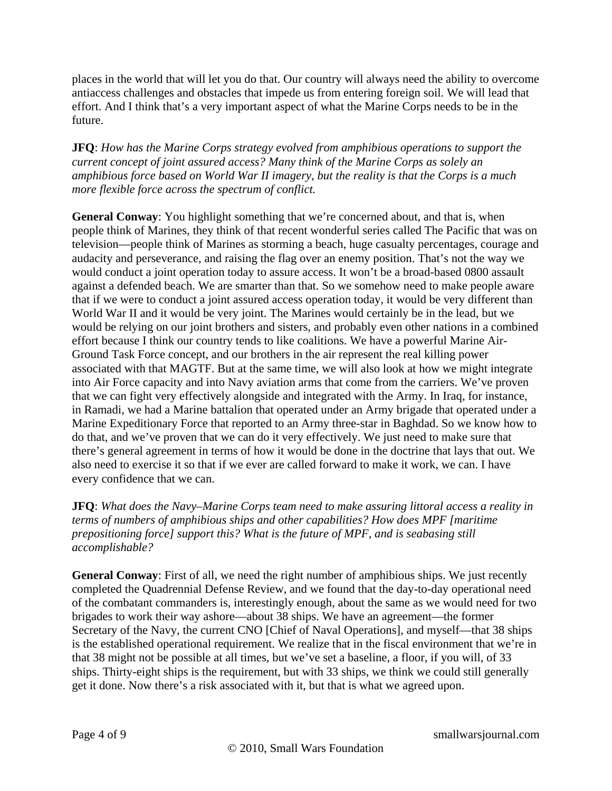places in the world that will let you do that. Our country will always need the ability to overcome antiaccess challenges and obstacles that impede us from entering foreign soil. We will lead that effort. And I think that's a very important aspect of what the Marine Corps needs to be in the future.

**JFQ**: *How has the Marine Corps strategy evolved from amphibious operations to support the current concept of joint assured access? Many think of the Marine Corps as solely an amphibious force based on World War II imagery, but the reality is that the Corps is a much more flexible force across the spectrum of conflict.*

**General Conway**: You highlight something that we're concerned about, and that is, when people think of Marines, they think of that recent wonderful series called The Pacific that was on television—people think of Marines as storming a beach, huge casualty percentages, courage and audacity and perseverance, and raising the flag over an enemy position. That's not the way we would conduct a joint operation today to assure access. It won't be a broad-based 0800 assault against a defended beach. We are smarter than that. So we somehow need to make people aware that if we were to conduct a joint assured access operation today, it would be very different than World War II and it would be very joint. The Marines would certainly be in the lead, but we would be relying on our joint brothers and sisters, and probably even other nations in a combined effort because I think our country tends to like coalitions. We have a powerful Marine Air-Ground Task Force concept, and our brothers in the air represent the real killing power associated with that MAGTF. But at the same time, we will also look at how we might integrate into Air Force capacity and into Navy aviation arms that come from the carriers. We've proven that we can fight very effectively alongside and integrated with the Army. In Iraq, for instance, in Ramadi, we had a Marine battalion that operated under an Army brigade that operated under a Marine Expeditionary Force that reported to an Army three-star in Baghdad. So we know how to do that, and we've proven that we can do it very effectively. We just need to make sure that there's general agreement in terms of how it would be done in the doctrine that lays that out. We also need to exercise it so that if we ever are called forward to make it work, we can. I have every confidence that we can.

**JFQ**: *What does the Navy–Marine Corps team need to make assuring littoral access a reality in terms of numbers of amphibious ships and other capabilities? How does MPF [maritime prepositioning force] support this? What is the future of MPF, and is seabasing still accomplishable?*

**General Conway**: First of all, we need the right number of amphibious ships. We just recently completed the Quadrennial Defense Review, and we found that the day-to-day operational need of the combatant commanders is, interestingly enough, about the same as we would need for two brigades to work their way ashore—about 38 ships. We have an agreement—the former Secretary of the Navy, the current CNO [Chief of Naval Operations], and myself—that 38 ships is the established operational requirement. We realize that in the fiscal environment that we're in that 38 might not be possible at all times, but we've set a baseline, a floor, if you will, of 33 ships. Thirty-eight ships is the requirement, but with 33 ships, we think we could still generally get it done. Now there's a risk associated with it, but that is what we agreed upon.

Page 4 of 9 smallwarsjournal.com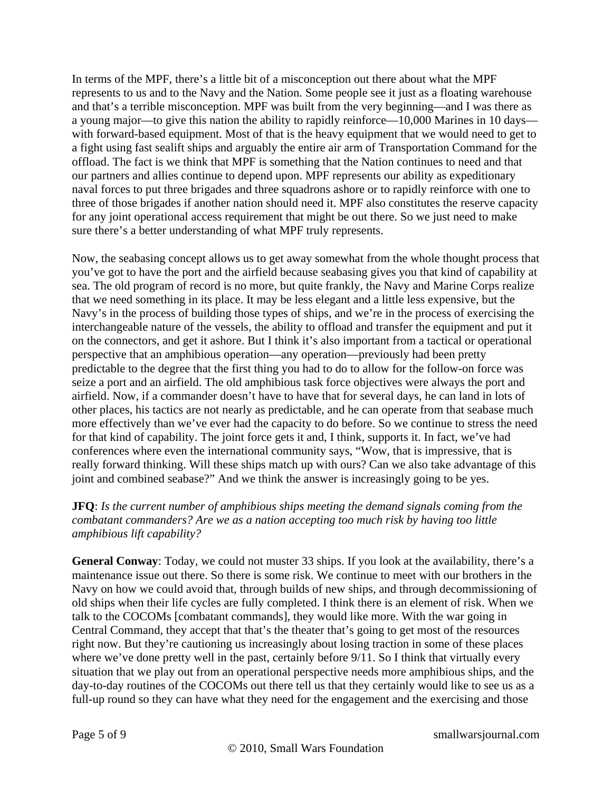In terms of the MPF, there's a little bit of a misconception out there about what the MPF represents to us and to the Navy and the Nation. Some people see it just as a floating warehouse and that's a terrible misconception. MPF was built from the very beginning—and I was there as a young major—to give this nation the ability to rapidly reinforce—10,000 Marines in 10 days with forward-based equipment. Most of that is the heavy equipment that we would need to get to a fight using fast sealift ships and arguably the entire air arm of Transportation Command for the offload. The fact is we think that MPF is something that the Nation continues to need and that our partners and allies continue to depend upon. MPF represents our ability as expeditionary naval forces to put three brigades and three squadrons ashore or to rapidly reinforce with one to three of those brigades if another nation should need it. MPF also constitutes the reserve capacity for any joint operational access requirement that might be out there. So we just need to make sure there's a better understanding of what MPF truly represents.

Now, the seabasing concept allows us to get away somewhat from the whole thought process that you've got to have the port and the airfield because seabasing gives you that kind of capability at sea. The old program of record is no more, but quite frankly, the Navy and Marine Corps realize that we need something in its place. It may be less elegant and a little less expensive, but the Navy's in the process of building those types of ships, and we're in the process of exercising the interchangeable nature of the vessels, the ability to offload and transfer the equipment and put it on the connectors, and get it ashore. But I think it's also important from a tactical or operational perspective that an amphibious operation—any operation—previously had been pretty predictable to the degree that the first thing you had to do to allow for the follow-on force was seize a port and an airfield. The old amphibious task force objectives were always the port and airfield. Now, if a commander doesn't have to have that for several days, he can land in lots of other places, his tactics are not nearly as predictable, and he can operate from that seabase much more effectively than we've ever had the capacity to do before. So we continue to stress the need for that kind of capability. The joint force gets it and, I think, supports it. In fact, we've had conferences where even the international community says, "Wow, that is impressive, that is really forward thinking. Will these ships match up with ours? Can we also take advantage of this joint and combined seabase?" And we think the answer is increasingly going to be yes.

#### **JFQ**: *Is the current number of amphibious ships meeting the demand signals coming from the combatant commanders? Are we as a nation accepting too much risk by having too little amphibious lift capability?*

**General Conway**: Today, we could not muster 33 ships. If you look at the availability, there's a maintenance issue out there. So there is some risk. We continue to meet with our brothers in the Navy on how we could avoid that, through builds of new ships, and through decommissioning of old ships when their life cycles are fully completed. I think there is an element of risk. When we talk to the COCOMs [combatant commands], they would like more. With the war going in Central Command, they accept that that's the theater that's going to get most of the resources right now. But they're cautioning us increasingly about losing traction in some of these places where we've done pretty well in the past, certainly before  $9/11$ . So I think that virtually every situation that we play out from an operational perspective needs more amphibious ships, and the day-to-day routines of the COCOMs out there tell us that they certainly would like to see us as a full-up round so they can have what they need for the engagement and the exercising and those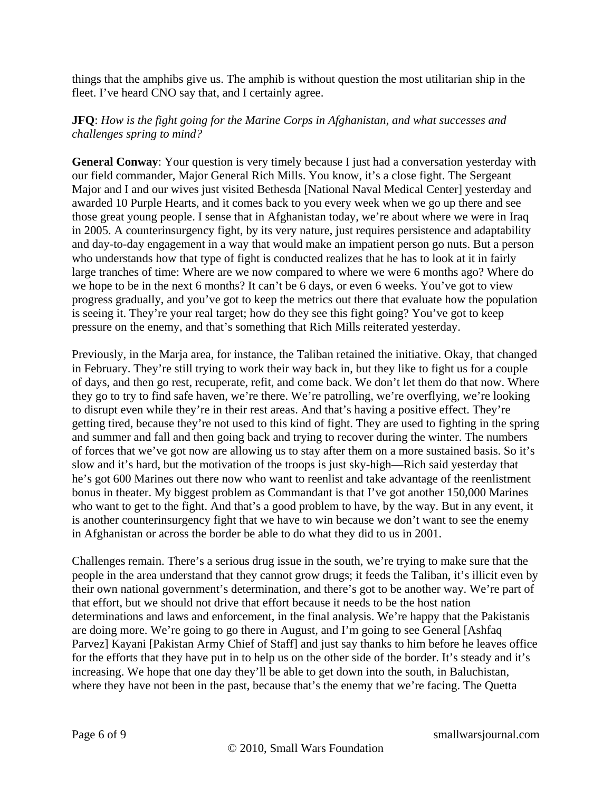things that the amphibs give us. The amphib is without question the most utilitarian ship in the fleet. I've heard CNO say that, and I certainly agree.

#### **JFQ**: *How is the fight going for the Marine Corps in Afghanistan, and what successes and challenges spring to mind?*

**General Conway**: Your question is very timely because I just had a conversation yesterday with our field commander, Major General Rich Mills. You know, it's a close fight. The Sergeant Major and I and our wives just visited Bethesda [National Naval Medical Center] yesterday and awarded 10 Purple Hearts, and it comes back to you every week when we go up there and see those great young people. I sense that in Afghanistan today, we're about where we were in Iraq in 2005. A counterinsurgency fight, by its very nature, just requires persistence and adaptability and day-to-day engagement in a way that would make an impatient person go nuts. But a person who understands how that type of fight is conducted realizes that he has to look at it in fairly large tranches of time: Where are we now compared to where we were 6 months ago? Where do we hope to be in the next 6 months? It can't be 6 days, or even 6 weeks. You've got to view progress gradually, and you've got to keep the metrics out there that evaluate how the population is seeing it. They're your real target; how do they see this fight going? You've got to keep pressure on the enemy, and that's something that Rich Mills reiterated yesterday.

Previously, in the Marja area, for instance, the Taliban retained the initiative. Okay, that changed in February. They're still trying to work their way back in, but they like to fight us for a couple of days, and then go rest, recuperate, refit, and come back. We don't let them do that now. Where they go to try to find safe haven, we're there. We're patrolling, we're overflying, we're looking to disrupt even while they're in their rest areas. And that's having a positive effect. They're getting tired, because they're not used to this kind of fight. They are used to fighting in the spring and summer and fall and then going back and trying to recover during the winter. The numbers of forces that we've got now are allowing us to stay after them on a more sustained basis. So it's slow and it's hard, but the motivation of the troops is just sky-high—Rich said yesterday that he's got 600 Marines out there now who want to reenlist and take advantage of the reenlistment bonus in theater. My biggest problem as Commandant is that I've got another 150,000 Marines who want to get to the fight. And that's a good problem to have, by the way. But in any event, it is another counterinsurgency fight that we have to win because we don't want to see the enemy in Afghanistan or across the border be able to do what they did to us in 2001.

Challenges remain. There's a serious drug issue in the south, we're trying to make sure that the people in the area understand that they cannot grow drugs; it feeds the Taliban, it's illicit even by their own national government's determination, and there's got to be another way. We're part of that effort, but we should not drive that effort because it needs to be the host nation determinations and laws and enforcement, in the final analysis. We're happy that the Pakistanis are doing more. We're going to go there in August, and I'm going to see General [Ashfaq Parvez] Kayani [Pakistan Army Chief of Staff] and just say thanks to him before he leaves office for the efforts that they have put in to help us on the other side of the border. It's steady and it's increasing. We hope that one day they'll be able to get down into the south, in Baluchistan, where they have not been in the past, because that's the enemy that we're facing. The Quetta

Page 6 of 9 smallwarsjournal.com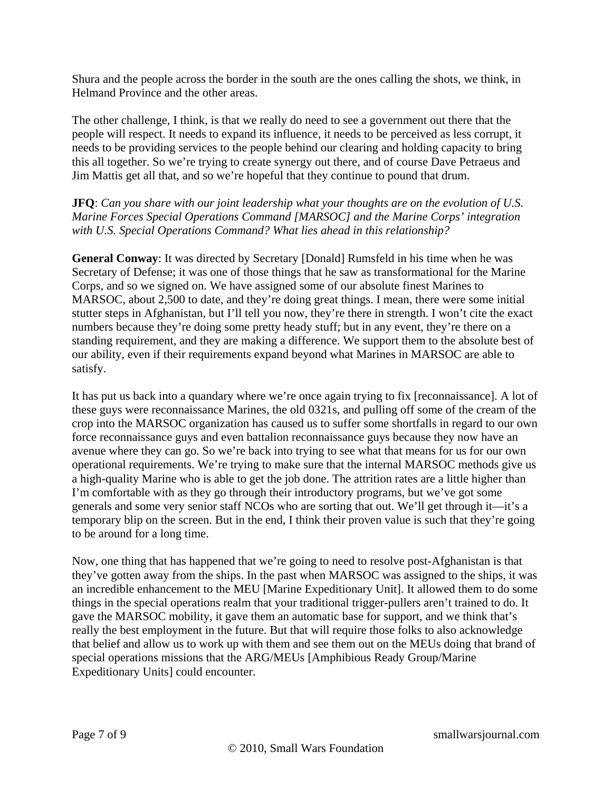Shura and the people across the border in the south are the ones calling the shots, we think, in Helmand Province and the other areas.

The other challenge, I think, is that we really do need to see a government out there that the people will respect. It needs to expand its influence, it needs to be perceived as less corrupt, it needs to be providing services to the people behind our clearing and holding capacity to bring this all together. So we're trying to create synergy out there, and of course Dave Petraeus and Jim Mattis get all that, and so we're hopeful that they continue to pound that drum.

**JFQ**: *Can you share with our joint leadership what your thoughts are on the evolution of U.S. Marine Forces Special Operations Command [MARSOC] and the Marine Corps' integration with U.S. Special Operations Command? What lies ahead in this relationship?*

**General Conway**: It was directed by Secretary [Donald] Rumsfeld in his time when he was Secretary of Defense; it was one of those things that he saw as transformational for the Marine Corps, and so we signed on. We have assigned some of our absolute finest Marines to MARSOC, about 2,500 to date, and they're doing great things. I mean, there were some initial stutter steps in Afghanistan, but I'll tell you now, they're there in strength. I won't cite the exact numbers because they're doing some pretty heady stuff; but in any event, they're there on a standing requirement, and they are making a difference. We support them to the absolute best of our ability, even if their requirements expand beyond what Marines in MARSOC are able to satisfy.

It has put us back into a quandary where we're once again trying to fix [reconnaissance]. A lot of these guys were reconnaissance Marines, the old 0321s, and pulling off some of the cream of the crop into the MARSOC organization has caused us to suffer some shortfalls in regard to our own force reconnaissance guys and even battalion reconnaissance guys because they now have an avenue where they can go. So we're back into trying to see what that means for us for our own operational requirements. We're trying to make sure that the internal MARSOC methods give us a high-quality Marine who is able to get the job done. The attrition rates are a little higher than I'm comfortable with as they go through their introductory programs, but we've got some generals and some very senior staff NCOs who are sorting that out. We'll get through it—it's a temporary blip on the screen. But in the end, I think their proven value is such that they're going to be around for a long time.

Now, one thing that has happened that we're going to need to resolve post-Afghanistan is that they've gotten away from the ships. In the past when MARSOC was assigned to the ships, it was an incredible enhancement to the MEU [Marine Expeditionary Unit]. It allowed them to do some things in the special operations realm that your traditional trigger-pullers aren't trained to do. It gave the MARSOC mobility, it gave them an automatic base for support, and we think that's really the best employment in the future. But that will require those folks to also acknowledge that belief and allow us to work up with them and see them out on the MEUs doing that brand of special operations missions that the ARG/MEUs [Amphibious Ready Group/Marine Expeditionary Units] could encounter.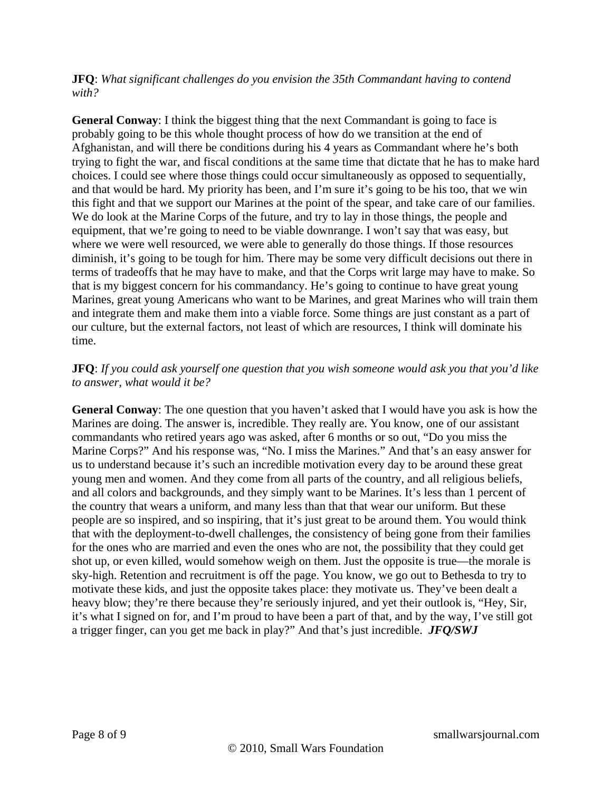**JFQ**: *What significant challenges do you envision the 35th Commandant having to contend with?*

**General Conway**: I think the biggest thing that the next Commandant is going to face is probably going to be this whole thought process of how do we transition at the end of Afghanistan, and will there be conditions during his 4 years as Commandant where he's both trying to fight the war, and fiscal conditions at the same time that dictate that he has to make hard choices. I could see where those things could occur simultaneously as opposed to sequentially, and that would be hard. My priority has been, and I'm sure it's going to be his too, that we win this fight and that we support our Marines at the point of the spear, and take care of our families. We do look at the Marine Corps of the future, and try to lay in those things, the people and equipment, that we're going to need to be viable downrange. I won't say that was easy, but where we were well resourced, we were able to generally do those things. If those resources diminish, it's going to be tough for him. There may be some very difficult decisions out there in terms of tradeoffs that he may have to make, and that the Corps writ large may have to make. So that is my biggest concern for his commandancy. He's going to continue to have great young Marines, great young Americans who want to be Marines, and great Marines who will train them and integrate them and make them into a viable force. Some things are just constant as a part of our culture, but the external factors, not least of which are resources, I think will dominate his time.

#### **JFQ**: *If you could ask yourself one question that you wish someone would ask you that you'd like to answer, what would it be?*

**General Conway**: The one question that you haven't asked that I would have you ask is how the Marines are doing. The answer is, incredible. They really are. You know, one of our assistant commandants who retired years ago was asked, after 6 months or so out, "Do you miss the Marine Corps?" And his response was, "No. I miss the Marines." And that's an easy answer for us to understand because it's such an incredible motivation every day to be around these great young men and women. And they come from all parts of the country, and all religious beliefs, and all colors and backgrounds, and they simply want to be Marines. It's less than 1 percent of the country that wears a uniform, and many less than that that wear our uniform. But these people are so inspired, and so inspiring, that it's just great to be around them. You would think that with the deployment-to-dwell challenges, the consistency of being gone from their families for the ones who are married and even the ones who are not, the possibility that they could get shot up, or even killed, would somehow weigh on them. Just the opposite is true—the morale is sky-high. Retention and recruitment is off the page. You know, we go out to Bethesda to try to motivate these kids, and just the opposite takes place: they motivate us. They've been dealt a heavy blow; they're there because they're seriously injured, and yet their outlook is, "Hey, Sir, it's what I signed on for, and I'm proud to have been a part of that, and by the way, I've still got a trigger finger, can you get me back in play?" And that's just incredible. *JFQ/SWJ*